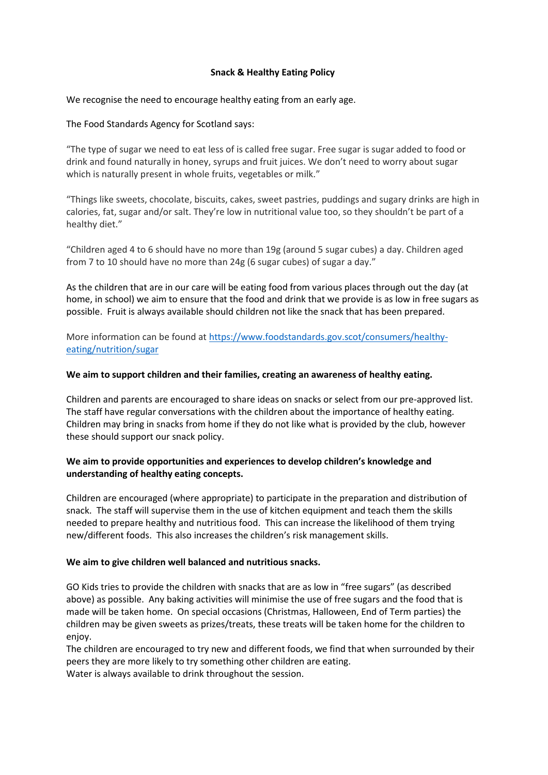#### **Snack & Healthy Eating Policy**

We recognise the need to encourage healthy eating from an early age.

The Food Standards Agency for Scotland says:

"The type of sugar we need to eat less of is called free sugar. Free sugar is sugar added to food or drink and found naturally in honey, syrups and fruit juices. We don't need to worry about sugar which is naturally present in whole fruits, vegetables or milk."

"Things like sweets, chocolate, biscuits, cakes, sweet pastries, puddings and sugary drinks are high in calories, fat, sugar and/or salt. They're low in nutritional value too, so they shouldn't be part of a healthy diet."

"Children aged 4 to 6 should have no more than 19g (around 5 sugar cubes) a day. Children aged from 7 to 10 should have no more than 24g (6 sugar cubes) of sugar a day."

As the children that are in our care will be eating food from various places through out the day (at home, in school) we aim to ensure that the food and drink that we provide is as low in free sugars as possible. Fruit is always available should children not like the snack that has been prepared.

More information can be found at [https://www.foodstandards.gov.scot/consumers/healthy](https://www.foodstandards.gov.scot/consumers/healthy-eating/nutrition/sugar)[eating/nutrition/sugar](https://www.foodstandards.gov.scot/consumers/healthy-eating/nutrition/sugar)

#### **We aim to support children and their families, creating an awareness of healthy eating.**

Children and parents are encouraged to share ideas on snacks or select from our pre-approved list. The staff have regular conversations with the children about the importance of healthy eating. Children may bring in snacks from home if they do not like what is provided by the club, however these should support our snack policy.

### **We aim to provide opportunities and experiences to develop children's knowledge and understanding of healthy eating concepts.**

Children are encouraged (where appropriate) to participate in the preparation and distribution of snack. The staff will supervise them in the use of kitchen equipment and teach them the skills needed to prepare healthy and nutritious food. This can increase the likelihood of them trying new/different foods. This also increases the children's risk management skills.

#### **We aim to give children well balanced and nutritious snacks.**

GO Kids tries to provide the children with snacks that are as low in "free sugars" (as described above) as possible. Any baking activities will minimise the use of free sugars and the food that is made will be taken home. On special occasions (Christmas, Halloween, End of Term parties) the children may be given sweets as prizes/treats, these treats will be taken home for the children to enjoy.

The children are encouraged to try new and different foods, we find that when surrounded by their peers they are more likely to try something other children are eating. Water is always available to drink throughout the session.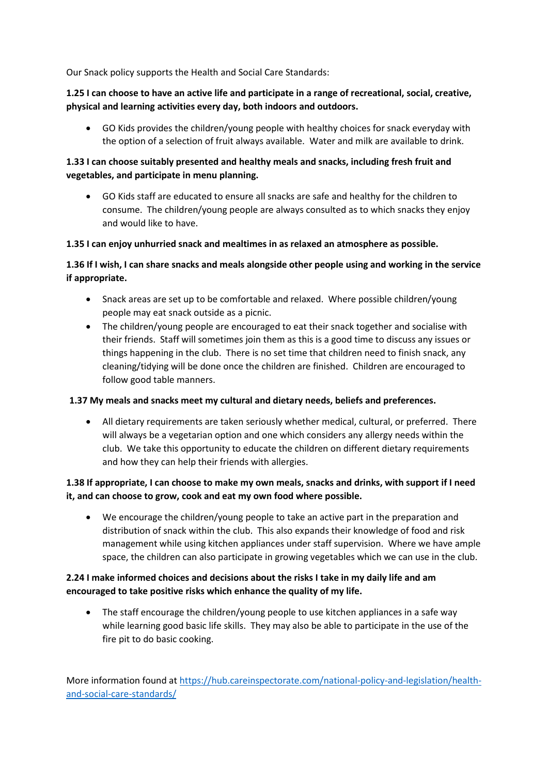Our Snack policy supports the Health and Social Care Standards:

# **1.25 I can choose to have an active life and participate in a range of recreational, social, creative, physical and learning activities every day, both indoors and outdoors.**

• GO Kids provides the children/young people with healthy choices for snack everyday with the option of a selection of fruit always available. Water and milk are available to drink.

# **1.33 I can choose suitably presented and healthy meals and snacks, including fresh fruit and vegetables, and participate in menu planning.**

• GO Kids staff are educated to ensure all snacks are safe and healthy for the children to consume. The children/young people are always consulted as to which snacks they enjoy and would like to have.

### **1.35 I can enjoy unhurried snack and mealtimes in as relaxed an atmosphere as possible.**

# **1.36 If I wish, I can share snacks and meals alongside other people using and working in the service if appropriate.**

- Snack areas are set up to be comfortable and relaxed. Where possible children/young people may eat snack outside as a picnic.
- The children/young people are encouraged to eat their snack together and socialise with their friends. Staff will sometimes join them as this is a good time to discuss any issues or things happening in the club. There is no set time that children need to finish snack, any cleaning/tidying will be done once the children are finished. Children are encouraged to follow good table manners.

### **1.37 My meals and snacks meet my cultural and dietary needs, beliefs and preferences.**

• All dietary requirements are taken seriously whether medical, cultural, or preferred. There will always be a vegetarian option and one which considers any allergy needs within the club. We take this opportunity to educate the children on different dietary requirements and how they can help their friends with allergies.

### **1.38 If appropriate, I can choose to make my own meals, snacks and drinks, with support if I need it, and can choose to grow, cook and eat my own food where possible.**

• We encourage the children/young people to take an active part in the preparation and distribution of snack within the club. This also expands their knowledge of food and risk management while using kitchen appliances under staff supervision. Where we have ample space, the children can also participate in growing vegetables which we can use in the club.

# **2.24 I make informed choices and decisions about the risks I take in my daily life and am encouraged to take positive risks which enhance the quality of my life.**

• The staff encourage the children/young people to use kitchen appliances in a safe way while learning good basic life skills. They may also be able to participate in the use of the fire pit to do basic cooking.

More information found at [https://hub.careinspectorate.com/national-policy-and-legislation/health](https://hub.careinspectorate.com/national-policy-and-legislation/health-and-social-care-standards/)[and-social-care-standards/](https://hub.careinspectorate.com/national-policy-and-legislation/health-and-social-care-standards/)